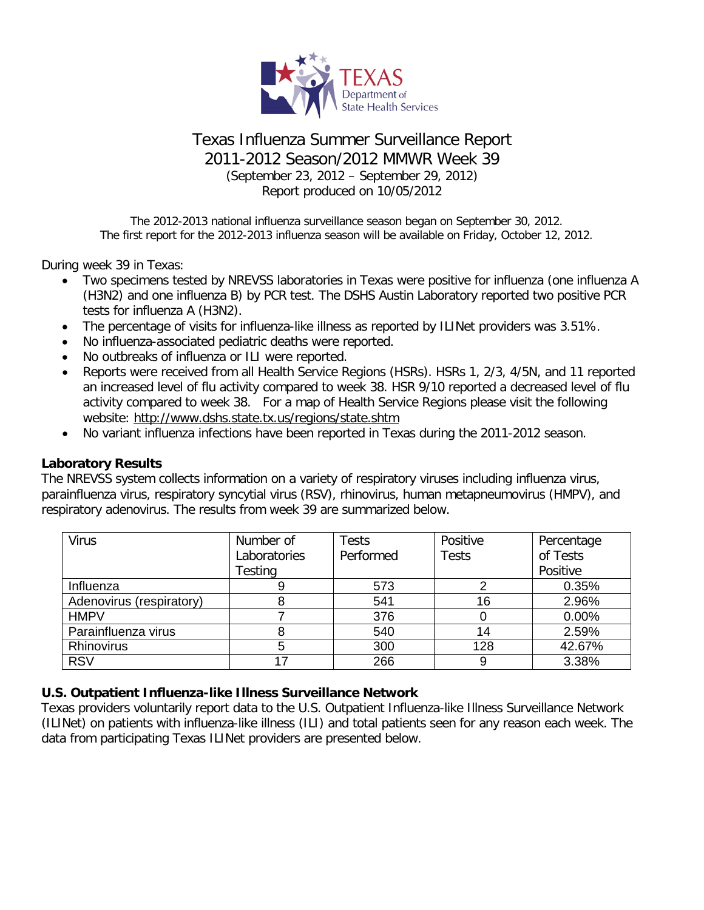

# Texas Influenza Summer Surveillance Report 2011-2012 Season/2012 MMWR Week 39 (September 23, 2012 – September 29, 2012) Report produced on 10/05/2012

The 2012-2013 national influenza surveillance season began on September 30, 2012. The first report for the 2012-2013 influenza season will be available on Friday, October 12, 2012.

During week 39 in Texas:

- Two specimens tested by NREVSS laboratories in Texas were positive for influenza (one influenza A (H3N2) and one influenza B) by PCR test. The DSHS Austin Laboratory reported two positive PCR tests for influenza A (H3N2).
- The percentage of visits for influenza-like illness as reported by ILINet providers was 3.51%.
- No influenza-associated pediatric deaths were reported.
- No outbreaks of influenza or ILI were reported.
- Reports were received from all Health Service Regions (HSRs). HSRs 1, 2/3, 4/5N, and 11 reported an increased level of flu activity compared to week 38. HSR 9/10 reported a decreased level of flu activity compared to week 38. For a map of Health Service Regions please visit the following website:<http://www.dshs.state.tx.us/regions/state.shtm>
- No variant influenza infections have been reported in Texas during the 2011-2012 season.

#### **Laboratory Results**

The NREVSS system collects information on a variety of respiratory viruses including influenza virus, parainfluenza virus, respiratory syncytial virus (RSV), rhinovirus, human metapneumovirus (HMPV), and respiratory adenovirus. The results from week 39 are summarized below.

| <b>Virus</b>             | Number of    | <b>Tests</b> | Positive     | Percentage |
|--------------------------|--------------|--------------|--------------|------------|
|                          | Laboratories | Performed    | <b>Tests</b> | of Tests   |
|                          | Testing      |              |              | Positive   |
| Influenza                | 9            | 573          |              | 0.35%      |
| Adenovirus (respiratory) |              | 541          | 16           | 2.96%      |
| <b>HMPV</b>              |              | 376          |              | 0.00%      |
| Parainfluenza virus      | 8            | 540          | 14           | 2.59%      |
| <b>Rhinovirus</b>        | 5            | 300          | 128          | 42.67%     |
| <b>RSV</b>               |              | 266          |              | 3.38%      |

## **U.S. Outpatient Influenza-like Illness Surveillance Network**

Texas providers voluntarily report data to the U.S. Outpatient Influenza-like Illness Surveillance Network (ILINet) on patients with influenza-like illness (ILI) and total patients seen for any reason each week. The data from participating Texas ILINet providers are presented below.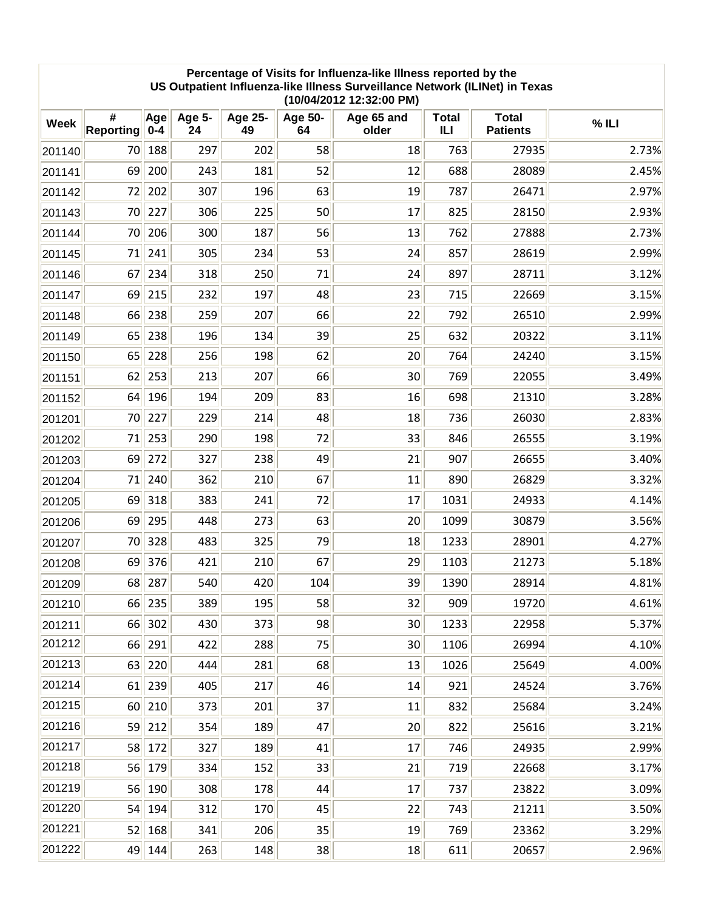#### **Percentage of Visits for Influenza-like Illness reported by the US Outpatient Influenza-like Illness Surveillance Network (ILINet) in Texas (10/04/2012 12:32:00 PM)**

| <b>Week</b> | #<br><b>Reporting</b> | Age<br>$0 - 4$ | <b>Age 5-</b><br>24 | <b>Age 25-</b><br>49 | <b>Age 50-</b><br>64 | Age 65 and<br>older | <b>Total</b><br>ILI | <b>Total</b><br><b>Patients</b> | $%$ ILI |
|-------------|-----------------------|----------------|---------------------|----------------------|----------------------|---------------------|---------------------|---------------------------------|---------|
| 201140      | 70                    | 188            | 297                 | 202                  | 58                   | 18                  | 763                 | 27935                           | 2.73%   |
| 201141      | 69                    | 200            | 243                 | 181                  | 52                   | 12                  | 688                 | 28089                           | 2.45%   |
| 201142      | 72                    | 202            | 307                 | 196                  | 63                   | 19                  | 787                 | 26471                           | 2.97%   |
| 201143      | 70                    | 227            | 306                 | 225                  | 50                   | 17                  | 825                 | 28150                           | 2.93%   |
| 201144      | 70                    | 206            | 300                 | 187                  | 56                   | 13                  | 762                 | 27888                           | 2.73%   |
| 201145      | 71                    | 241            | 305                 | 234                  | 53                   | 24                  | 857                 | 28619                           | 2.99%   |
| 201146      | 67                    | 234            | 318                 | 250                  | 71                   | 24                  | 897                 | 28711                           | 3.12%   |
| 201147      | 69                    | 215            | 232                 | 197                  | 48                   | 23                  | 715                 | 22669                           | 3.15%   |
| 201148      | 66                    | 238            | 259                 | 207                  | 66                   | 22                  | 792                 | 26510                           | 2.99%   |
| 201149      | 65                    | 238            | 196                 | 134                  | 39                   | 25                  | 632                 | 20322                           | 3.11%   |
| 201150      | 65                    | 228            | 256                 | 198                  | 62                   | 20                  | 764                 | 24240                           | 3.15%   |
| 201151      | 62                    | 253            | 213                 | 207                  | 66                   | 30 <sub>2</sub>     | 769                 | 22055                           | 3.49%   |
| 201152      | 64                    | 196            | 194                 | 209                  | 83                   | 16                  | 698                 | 21310                           | 3.28%   |
| 201201      | 70                    | 227            | 229                 | 214                  | 48                   | 18                  | 736                 | 26030                           | 2.83%   |
| 201202      | 71                    | 253            | 290                 | 198                  | 72                   | 33                  | 846                 | 26555                           | 3.19%   |
| 201203      | 69                    | 272            | 327                 | 238                  | 49                   | 21                  | 907                 | 26655                           | 3.40%   |
| 201204      | 71                    | 240            | 362                 | 210                  | 67                   | 11                  | 890                 | 26829                           | 3.32%   |
| 201205      | 69                    | 318            | 383                 | 241                  | 72                   | 17                  | 1031                | 24933                           | 4.14%   |
| 201206      | 69                    | 295            | 448                 | 273                  | 63                   | 20                  | 1099                | 30879                           | 3.56%   |
| 201207      | 70                    | 328            | 483                 | 325                  | 79                   | 18                  | 1233                | 28901                           | 4.27%   |
| 201208      | 69                    | 376            | 421                 | 210                  | 67                   | 29                  | 1103                | 21273                           | 5.18%   |
| 201209      | 68                    | 287            | 540                 | 420                  | 104                  | 39                  | 1390                | 28914                           | 4.81%   |
| 201210      | 66                    | 235            | 389                 | 195                  | 58                   | 32                  | 909                 | 19720                           | 4.61%   |
| 201211      | 66                    | 302            | 430                 | 373                  | 98                   | 30                  | 1233                | 22958                           | 5.37%   |
| 201212      | 66                    | 291            | 422                 | 288                  | 75                   | 30 <sub>2</sub>     | 1106                | 26994                           | 4.10%   |
| 201213      | 63                    | 220            | 444                 | 281                  | 68                   | 13                  | 1026                | 25649                           | 4.00%   |
| 201214      | 61                    | 239            | 405                 | 217                  | 46                   | 14                  | 921                 | 24524                           | 3.76%   |
| 201215      | 60                    | 210            | 373                 | 201                  | 37                   | 11                  | 832                 | 25684                           | 3.24%   |
| 201216      | 59                    | 212            | 354                 | 189                  | 47                   | 20                  | 822                 | 25616                           | 3.21%   |
| 201217      | 58                    | 172            | 327                 | 189                  | 41                   | 17                  | 746                 | 24935                           | 2.99%   |
| 201218      | 56                    | 179            | 334                 | 152                  | 33                   | 21                  | 719                 | 22668                           | 3.17%   |
| 201219      | 56                    | 190            | 308                 | 178                  | 44                   | 17                  | 737                 | 23822                           | 3.09%   |
| 201220      | 54                    | 194            | 312                 | 170                  | 45                   | 22                  | 743                 | 21211                           | 3.50%   |
| 201221      | 52                    | 168            | 341                 | 206                  | 35                   | 19                  | 769                 | 23362                           | 3.29%   |
| 201222      | 49                    | 144            | 263                 | 148                  | 38                   | 18                  | 611                 | 20657                           | 2.96%   |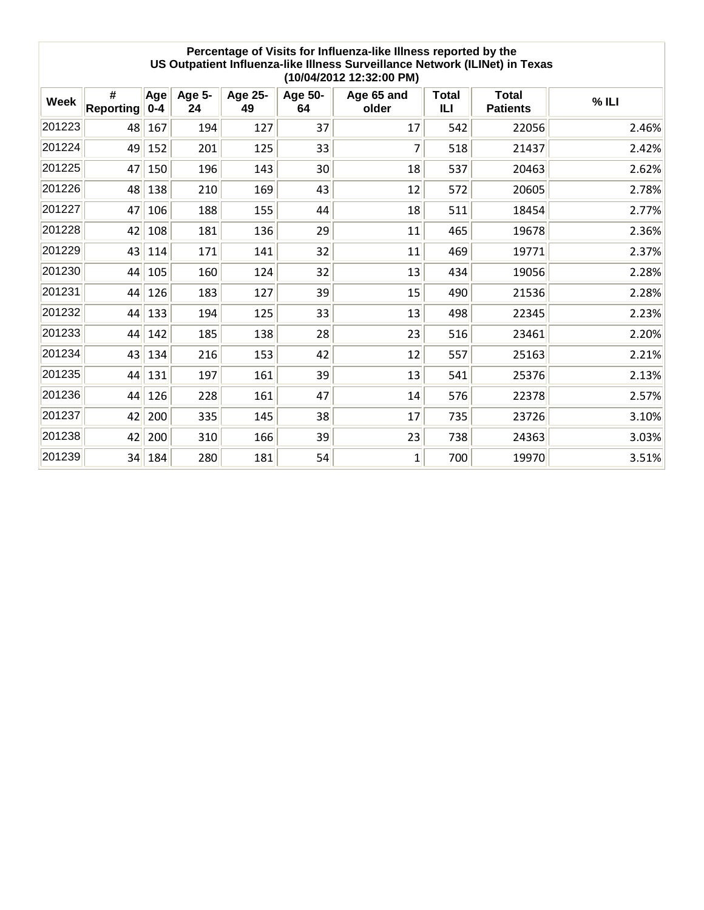| Percentage of Visits for Influenza-like Illness reported by the<br>US Outpatient Influenza-like Illness Surveillance Network (ILINet) in Texas<br>(10/04/2012 12:32:00 PM) |                       |                |              |               |                 |                     |                     |                                 |       |  |
|----------------------------------------------------------------------------------------------------------------------------------------------------------------------------|-----------------------|----------------|--------------|---------------|-----------------|---------------------|---------------------|---------------------------------|-------|--|
| <b>Week</b>                                                                                                                                                                | #<br><b>Reporting</b> | Age<br>$0 - 4$ | Age 5-<br>24 | Age 25-<br>49 | Age 50-<br>64   | Age 65 and<br>older | <b>Total</b><br>ILI | <b>Total</b><br><b>Patients</b> | %ILI  |  |
| 201223                                                                                                                                                                     | 48                    | 167            | 194          | 127           | 37              | 17                  | 542                 | 22056                           | 2.46% |  |
| 201224                                                                                                                                                                     | 49                    | 152            | 201          | 125           | 33              | 7                   | 518                 | 21437                           | 2.42% |  |
| 201225                                                                                                                                                                     | 47                    | 150            | 196          | 143           | 30 <sup>°</sup> | 18                  | 537                 | 20463                           | 2.62% |  |
| 201226                                                                                                                                                                     | 48                    | 138            | 210          | 169           | 43              | 12                  | 572                 | 20605                           | 2.78% |  |
| 201227                                                                                                                                                                     | 47                    | 106            | 188          | 155           | 44              | 18                  | 511                 | 18454                           | 2.77% |  |
| 201228                                                                                                                                                                     | 42                    | 108            | 181          | 136           | 29              | 11                  | 465                 | 19678                           | 2.36% |  |
| 201229                                                                                                                                                                     | 43                    | 114            | 171          | 141           | 32              | 11                  | 469                 | 19771                           | 2.37% |  |
| 201230                                                                                                                                                                     | 44                    | 105            | 160          | 124           | 32              | 13                  | 434                 | 19056                           | 2.28% |  |
| 201231                                                                                                                                                                     | 44                    | 126            | 183          | 127           | 39              | 15                  | 490                 | 21536                           | 2.28% |  |
| 201232                                                                                                                                                                     | 44                    | 133            | 194          | 125           | 33              | 13                  | 498                 | 22345                           | 2.23% |  |
| 201233                                                                                                                                                                     | 44                    | 142            | 185          | 138           | 28              | 23                  | 516                 | 23461                           | 2.20% |  |
| 201234                                                                                                                                                                     | 43                    | 134            | 216          | 153           | 42              | 12                  | 557                 | 25163                           | 2.21% |  |
| 201235                                                                                                                                                                     | 44                    | 131            | 197          | 161           | 39              | 13                  | 541                 | 25376                           | 2.13% |  |
| 201236                                                                                                                                                                     | 44                    | 126            | 228          | 161           | 47              | 14                  | 576                 | 22378                           | 2.57% |  |
| 201237                                                                                                                                                                     | 42                    | 200            | 335          | 145           | 38              | 17                  | 735                 | 23726                           | 3.10% |  |
| 201238                                                                                                                                                                     | 42                    | 200            | 310          | 166           | 39              | 23                  | 738                 | 24363                           | 3.03% |  |
| 201239                                                                                                                                                                     | 34                    | 184            | 280          | 181           | 54              | 1                   | 700                 | 19970                           | 3.51% |  |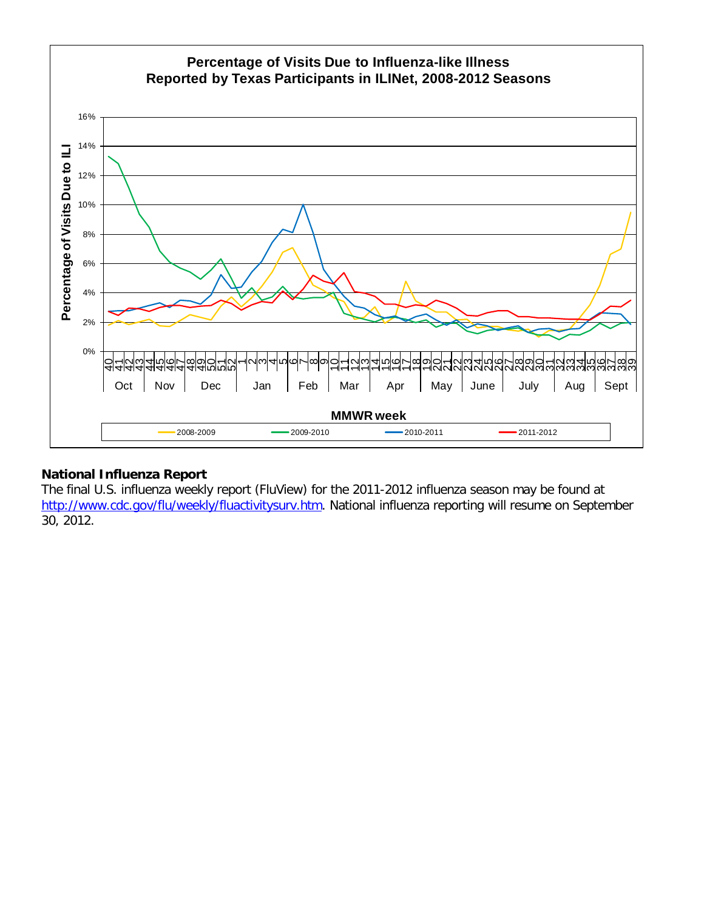

## **National Influenza Report**

The final U.S. influenza weekly report (FluView) for the 2011-2012 influenza season may be found at [http://www.cdc.gov/flu/weekly/fluactivitysurv.htm.](http://www.cdc.gov/flu/weekly/fluactivitysurv.htm) National influenza reporting will resume on September 30, 2012.